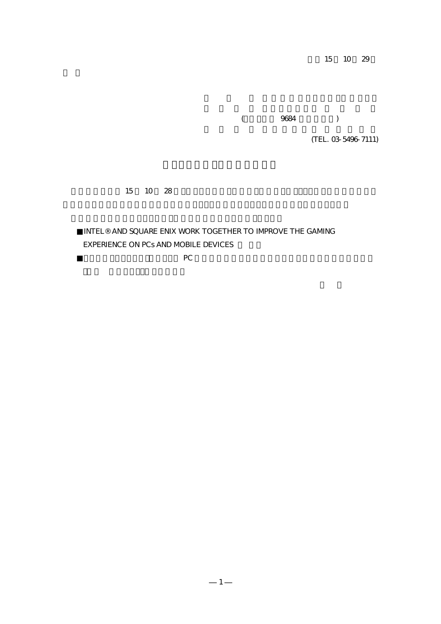15 10 29

 $($  9684  $)$ 

(TEL. 03-5496-7111)

#### 15 10 28

## $\blacksquare$  <br> AND SQUARE ENIX WORK TOGETHER TO  $\blacksquare$  <br> IMPROVE THE GAMING EXPERIENCE ON PCs AND MOBILE DEVICES

 $PC$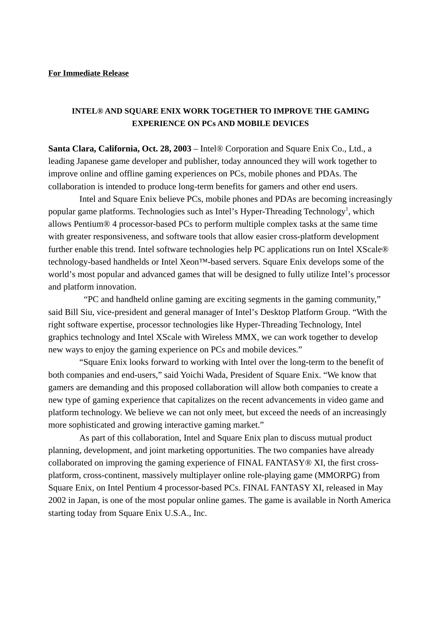#### **For Immediate Release**

### **INTEL® AND SQUARE ENIX WORK TOGETHER TO IMPROVE THE GAMING EXPERIENCE ON PCs AND MOBILE DEVICES**

**Santa Clara, California, Oct. 28, 2003** – Intel® Corporation and Square Enix Co., Ltd., a leading Japanese game developer and publisher, today announced they will work together to improve online and offline gaming experiences on PCs, mobile phones and PDAs. The collaboration is intended to produce long-term benefits for gamers and other end users.

Intel and Square Enix believe PCs, mobile phones and PDAs are becoming increasingly popular game platforms. Technologies such as Intel's Hyper-Threading Technology<sup>1</sup>, which allows Pentium® 4 processor-based PCs to perform multiple complex tasks at the same time with greater responsiveness, and software tools that allow easier cross-platform development further enable this trend. Intel software technologies help PC applications run on Intel XScale® technology-based handhelds or Intel Xeon™-based servers. Square Enix develops some of the world's most popular and advanced games that will be designed to fully utilize Intel's processor and platform innovation.

 "PC and handheld online gaming are exciting segments in the gaming community," said Bill Siu, vice-president and general manager of Intel's Desktop Platform Group. "With the right software expertise, processor technologies like Hyper-Threading Technology, Intel graphics technology and Intel XScale with Wireless MMX, we can work together to develop new ways to enjoy the gaming experience on PCs and mobile devices."

"Square Enix looks forward to working with Intel over the long-term to the benefit of both companies and end-users," said Yoichi Wada, President of Square Enix. "We know that gamers are demanding and this proposed collaboration will allow both companies to create a new type of gaming experience that capitalizes on the recent advancements in video game and platform technology. We believe we can not only meet, but exceed the needs of an increasingly more sophisticated and growing interactive gaming market."

As part of this collaboration, Intel and Square Enix plan to discuss mutual product planning, development, and joint marketing opportunities. The two companies have already collaborated on improving the gaming experience of FINAL FANTASY® XI, the first crossplatform, cross-continent, massively multiplayer online role-playing game (MMORPG) from Square Enix, on Intel Pentium 4 processor-based PCs. FINAL FANTASY XI, released in May 2002 in Japan, is one of the most popular online games. The game is available in North America starting today from Square Enix U.S.A., Inc.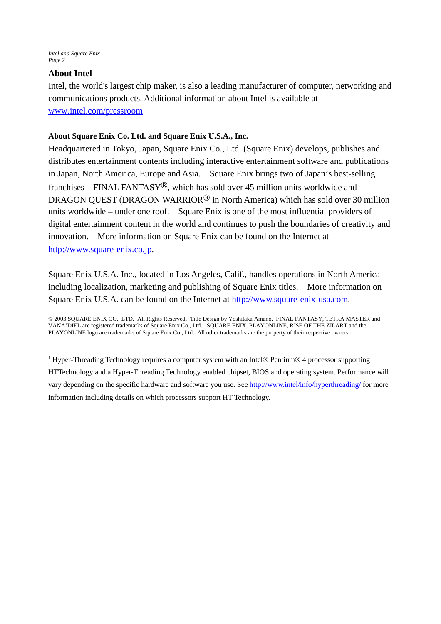*Intel and Square Enix Page 2*

#### **About Intel**

Intel, the world's largest chip maker, is also a leading manufacturer of computer, networking and communications products. Additional information about Intel is available at www.intel.com/pressroom

#### **About Square Enix Co. Ltd. and Square Enix U.S.A., Inc.**

Headquartered in Tokyo, Japan, Square Enix Co., Ltd. (Square Enix) develops, publishes and distributes entertainment contents including interactive entertainment software and publications in Japan, North America, Europe and Asia. Square Enix brings two of Japan's best-selling franchises – FINAL FANTASY<sup>®</sup>, which has sold over 45 million units worldwide and DRAGON OUEST (DRAGON WARRIOR<sup>®</sup> in North America) which has sold over 30 million units worldwide – under one roof. Square Enix is one of the most influential providers of digital entertainment content in the world and continues to push the boundaries of creativity and innovation. More information on Square Enix can be found on the Internet at http://www.square-enix.co.jp.

Square Enix U.S.A. Inc., located in Los Angeles, Calif., handles operations in North America including localization, marketing and publishing of Square Enix titles. More information on Square Enix U.S.A. can be found on the Internet at http://www.square-enix-usa.com.

© 2003 SQUARE ENIX CO., LTD. All Rights Reserved. Title Design by Yoshitaka Amano. FINAL FANTASY, TETRA MASTER and VANA'DIEL are registered trademarks of Square Enix Co., Ltd. SQUARE ENIX, PLAYONLINE, RISE OF THE ZILART and the PLAYONLINE logo are trademarks of Square Enix Co., Ltd. All other trademarks are the property of their respective owners.

<sup>1</sup> Hyper-Threading Technology requires a computer system with an Intel® Pentium® 4 processor supporting HTTechnology and a Hyper-Threading Technology enabled chipset, BIOS and operating system. Performance will vary depending on the specific hardware and software you use. See http://www.intel/info/hyperthreading/ for more information including details on which processors support HT Technology.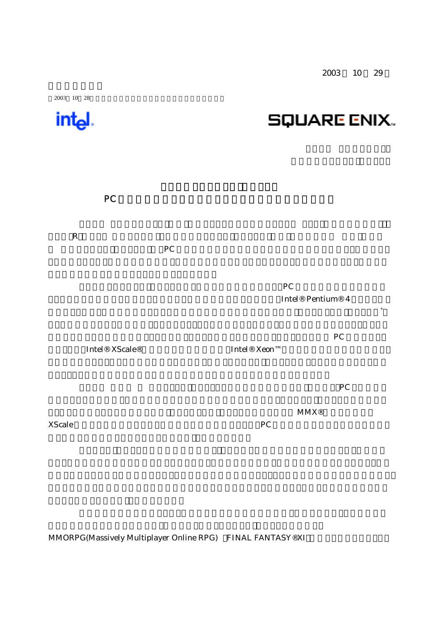2003 10 29

# $2003$  10 28 intel. **SQUARE ENIX.**  $PC$ レイグ・R・バレット 以下インテル)と株式会社スクウェア・エニックス(本社:東京都渋谷区 社長:和田洋 ト マスクラミングスト マスクラミング しょうこうかん アイスター しょうこうかい アイスター しょうこうかい アイスター しょうこうかい アイスター しょうこうかい アイスター しょうかい アイスター しょうしょく しょうしょく インテルとスクウェア・エニックスは、様々な技術の進歩により、PC 及び携帯端末がゲーム端末 Intel® Pentium® 4 用いたPC上で、複数の複雑なタスクを同時かつ効率的に処理するハイパー・スレッディング・テクノロジ\*

 $PC$ ーションを、Intel® XScale®技術ベースの携帯端末や、Intel® Xeon™ベースのサーバー上で動かすこと

 $P_{\text{C}}$ 

 $\boldsymbol{\mathrm{MMX}}$ ® XScale the two two ware two ware two ware produced as  $PC$ 

MMORPG(Massively Multiplayer Online RPG) FINAL FANTASY®XI